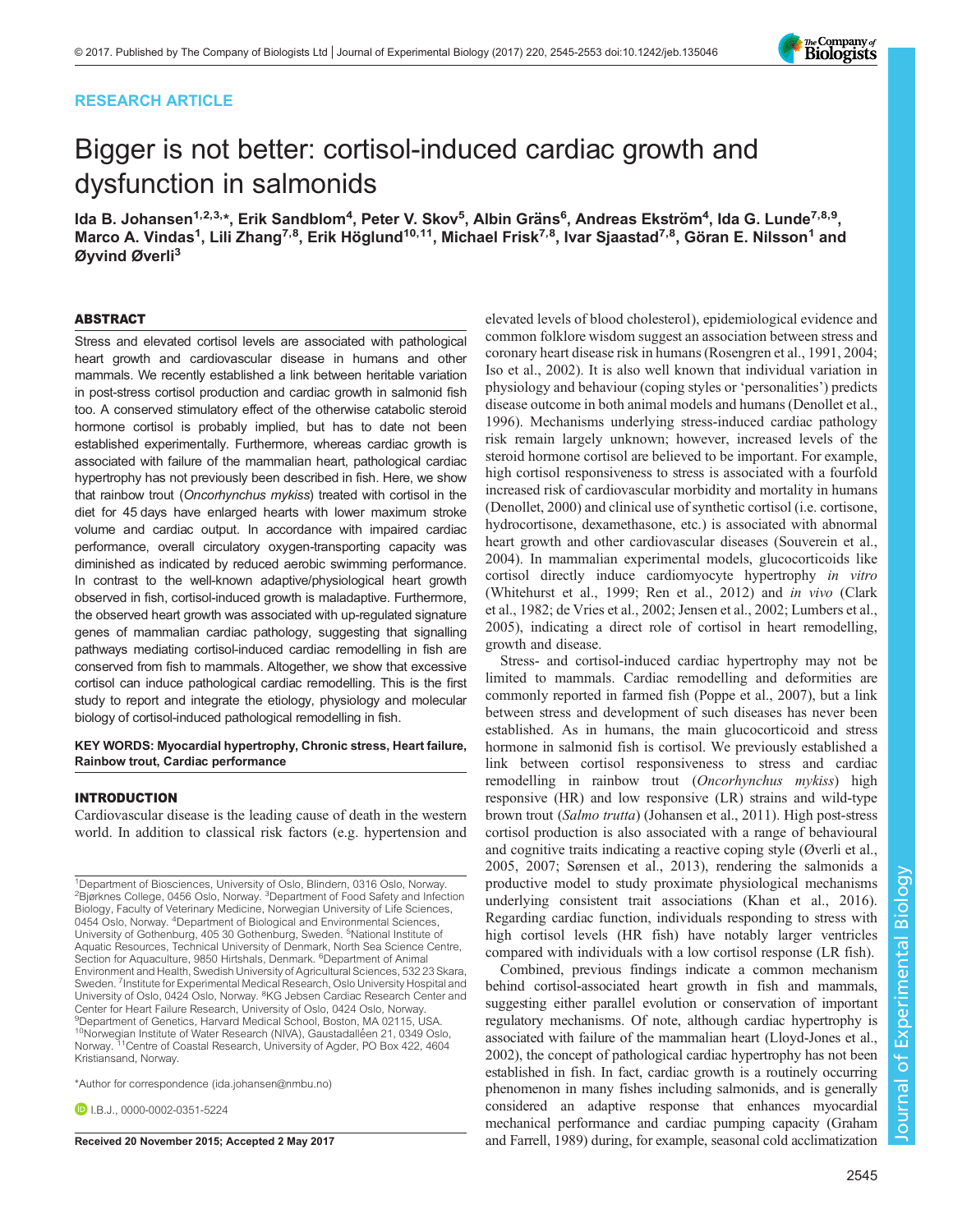# RESEARCH ARTICLE



# Bigger is not better: cortisol-induced cardiac growth and dysfunction in salmonids

lda B. Johansen<sup>1,2,3,</sup>\*, Erik Sandblom<sup>4</sup>, Peter V. Skov<sup>5</sup>, Albin Gräns<sup>6</sup>, Andreas Ekström<sup>4</sup>, Ida G. Lunde<sup>7,8,9</sup>, Marco A. Vindas<sup>1</sup>, Lili Zhang<sup>7,8</sup>, Erik Höglund<sup>10,11</sup>, Michael Frisk<sup>7,8</sup>, Ivar Sjaastad<sup>7,8</sup>, Göran E. Nilsson<sup>1</sup> and Øyvind Øverli<sup>3</sup>

## ABSTRACT

Stress and elevated cortisol levels are associated with pathological heart growth and cardiovascular disease in humans and other mammals. We recently established a link between heritable variation in post-stress cortisol production and cardiac growth in salmonid fish too. A conserved stimulatory effect of the otherwise catabolic steroid hormone cortisol is probably implied, but has to date not been established experimentally. Furthermore, whereas cardiac growth is associated with failure of the mammalian heart, pathological cardiac hypertrophy has not previously been described in fish. Here, we show that rainbow trout (Oncorhynchus mykiss) treated with cortisol in the diet for 45 days have enlarged hearts with lower maximum stroke volume and cardiac output. In accordance with impaired cardiac performance, overall circulatory oxygen-transporting capacity was diminished as indicated by reduced aerobic swimming performance. In contrast to the well-known adaptive/physiological heart growth observed in fish, cortisol-induced growth is maladaptive. Furthermore, the observed heart growth was associated with up-regulated signature genes of mammalian cardiac pathology, suggesting that signalling pathways mediating cortisol-induced cardiac remodelling in fish are conserved from fish to mammals. Altogether, we show that excessive cortisol can induce pathological cardiac remodelling. This is the first study to report and integrate the etiology, physiology and molecular biology of cortisol-induced pathological remodelling in fish.

KEY WORDS: Myocardial hypertrophy, Chronic stress, Heart failure, Rainbow trout, Cardiac performance

## INTRODUCTION

Cardiovascular disease is the leading cause of death in the western world. In addition to classical risk factors (e.g. hypertension and

\*Author for correspondence [\(ida.johansen@nmbu.no](mailto:ida.johansen@nmbu.no))

**DIR.I.** [0000-0002-0351-5224](http://orcid.org/0000-0002-0351-5224)

elevated levels of blood cholesterol), epidemiological evidence and common folklore wisdom suggest an association between stress and coronary heart disease risk in humans ([Rosengren et al., 1991](#page-7-0), [2004](#page-7-0); [Iso et al., 2002\)](#page-7-0). It is also well known that individual variation in physiology and behaviour (coping styles or 'personalities') predicts disease outcome in both animal models and humans ([Denollet et al.,](#page-7-0) [1996\)](#page-7-0). Mechanisms underlying stress-induced cardiac pathology risk remain largely unknown; however, increased levels of the steroid hormone cortisol are believed to be important. For example, high cortisol responsiveness to stress is associated with a fourfold increased risk of cardiovascular morbidity and mortality in humans [\(Denollet, 2000\)](#page-7-0) and clinical use of synthetic cortisol (i.e. cortisone, hydrocortisone, dexamethasone, etc.) is associated with abnormal heart growth and other cardiovascular diseases ([Souverein et al.,](#page-8-0) [2004\)](#page-8-0). In mammalian experimental models, glucocorticoids like cortisol directly induce cardiomyocyte hypertrophy in vitro [\(Whitehurst et al., 1999](#page-8-0); [Ren et al., 2012\)](#page-7-0) and in vivo [\(Clark](#page-7-0) [et al., 1982; de Vries et al., 2002](#page-7-0); [Jensen et al., 2002](#page-7-0); [Lumbers et al.,](#page-7-0) [2005\)](#page-7-0), indicating a direct role of cortisol in heart remodelling, growth and disease.

Stress- and cortisol-induced cardiac hypertrophy may not be limited to mammals. Cardiac remodelling and deformities are commonly reported in farmed fish [\(Poppe et al., 2007\)](#page-7-0), but a link between stress and development of such diseases has never been established. As in humans, the main glucocorticoid and stress hormone in salmonid fish is cortisol. We previously established a link between cortisol responsiveness to stress and cardiac remodelling in rainbow trout (Oncorhynchus mykiss) high responsive (HR) and low responsive (LR) strains and wild-type brown trout (Salmo trutta) ([Johansen et al., 2011\)](#page-7-0). High post-stress cortisol production is also associated with a range of behavioural and cognitive traits indicating a reactive coping style ([Øverli et al.,](#page-7-0) [2005, 2007](#page-7-0); [Sørensen et al., 2013](#page-8-0)), rendering the salmonids a productive model to study proximate physiological mechanisms underlying consistent trait associations ([Khan et al., 2016\)](#page-7-0). Regarding cardiac function, individuals responding to stress with high cortisol levels (HR fish) have notably larger ventricles compared with individuals with a low cortisol response (LR fish).

Combined, previous findings indicate a common mechanism behind cortisol-associated heart growth in fish and mammals, suggesting either parallel evolution or conservation of important regulatory mechanisms. Of note, although cardiac hypertrophy is associated with failure of the mammalian heart ([Lloyd-Jones et al.,](#page-7-0) [2002\)](#page-7-0), the concept of pathological cardiac hypertrophy has not been established in fish. In fact, cardiac growth is a routinely occurring phenomenon in many fishes including salmonids, and is generally considered an adaptive response that enhances myocardial mechanical performance and cardiac pumping capacity [\(Graham](#page-7-0) Received 20 November 2015; Accepted 2 May 2017 [and Farrell, 1989\)](#page-7-0) during, for example, seasonal cold acclimatization

<sup>&</sup>lt;sup>1</sup>Department of Biosciences, University of Oslo, Blindern, 0316 Oslo, Norway. <sup>2</sup>Bjørknes College, 0456 Oslo, Norway. <sup>3</sup>Department of Food Safety and Infection Biology, Faculty of Veterinary Medicine, Norwegian University of Life Sciences, 0454 Oslo, Norway. <sup>4</sup>Department of Biological and Environmental Sciences, University of Gothenburg, 405 30 Gothenburg, Sweden. <sup>5</sup>National Institute of Aquatic Resources, Technical University of Denmark, North Sea Science Centre, Section for Aquaculture, 9850 Hirtshals, Denmark. <sup>6</sup>Department of Animal Environment and Health, Swedish University of Agricultural Sciences, 532 23 Skara, Sweden. <sup>7</sup>Institute for Experimental Medical Research, Oslo University Hospital and University of Oslo, 0424 Oslo, Norway. <sup>8</sup>KG Jebsen Cardiac Research Center and Center for Heart Failure Research, University of Oslo, 0424 Oslo, Norway. 9 Department of Genetics, Harvard Medical School, Boston, MA 02115, USA. <sup>10</sup>Norwegian Institute of Water Research (NIVA), Gaustadalléen 21, 0349 Oslo, Norway.<sup>71</sup>Centre of Coastal Research, University of Agder, PO Box 422, 4604 Kristiansand, Norway.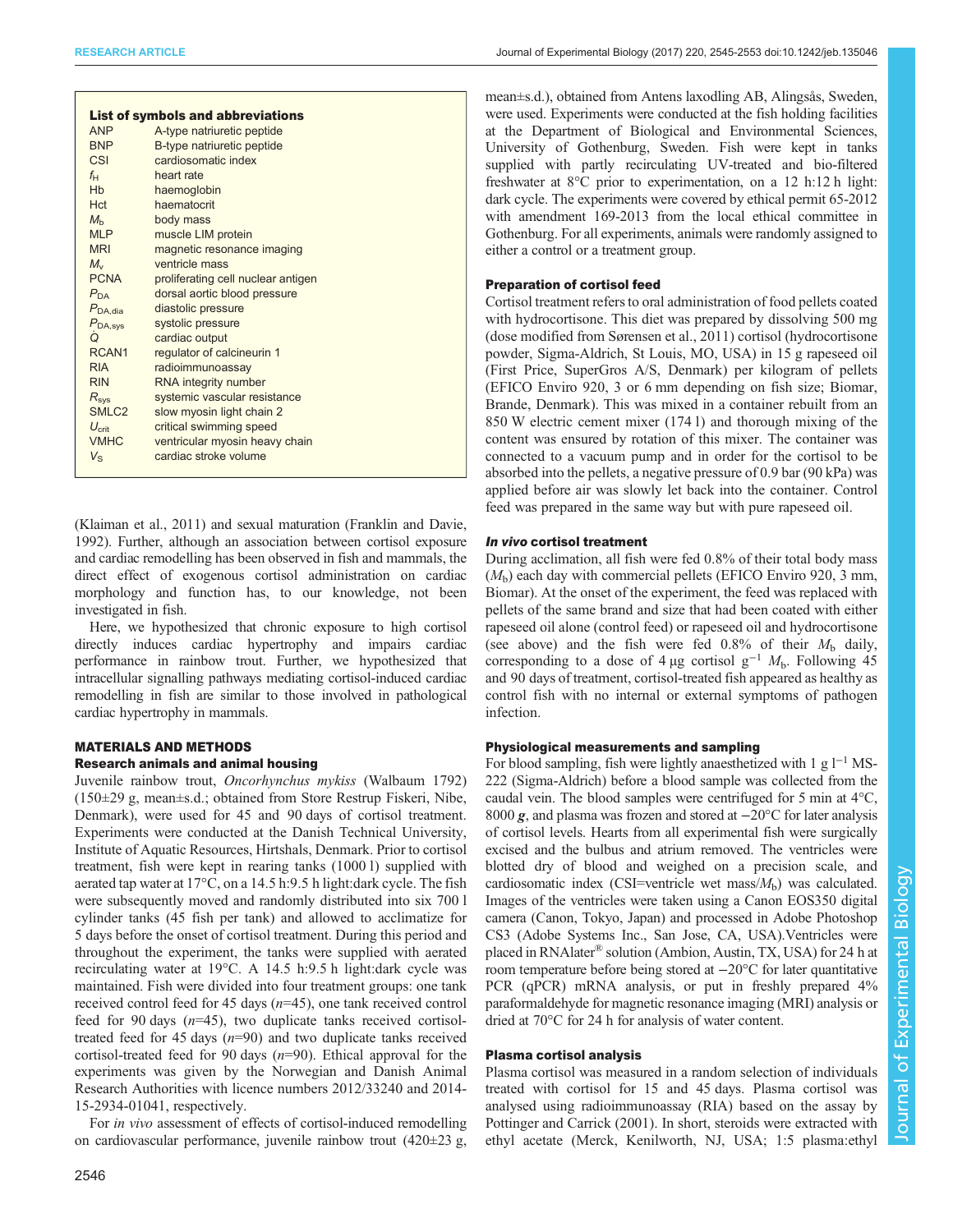| <b>List of symbols and abbreviations</b> |                                    |
|------------------------------------------|------------------------------------|
| <b>ANP</b>                               | A-type natriuretic peptide         |
| <b>BNP</b>                               | B-type natriuretic peptide         |
| CSI                                      | cardiosomatic index                |
| $f_{\rm H}$                              | heart rate                         |
| <b>H<sub>b</sub></b>                     | haemoglobin                        |
| <b>Hct</b>                               | haematocrit                        |
| $M_h$                                    | body mass                          |
| <b>MLP</b>                               | muscle LIM protein                 |
| <b>MRI</b>                               | magnetic resonance imaging         |
| $M_{\rm v}$                              | ventricle mass                     |
| <b>PCNA</b>                              | proliferating cell nuclear antigen |
| $P_{\Gamma\Delta}$                       | dorsal aortic blood pressure       |
| $P_{\text{DA.dia}}$                      | diastolic pressure                 |
| $P_{\text{DA,sys}}$                      | systolic pressure                  |
| Q                                        | cardiac output                     |
| RCAN <sub>1</sub>                        | regulator of calcineurin 1         |
| <b>RIA</b>                               | radioimmunoassay                   |
| <b>RIN</b>                               | RNA integrity number               |
| $R_{sys}$                                | systemic vascular resistance       |
| SMLC <sub>2</sub>                        | slow myosin light chain 2          |
| $U_{\rm crit}$                           | critical swimming speed            |
| <b>VMHC</b>                              | ventricular myosin heavy chain     |
| $V_{\rm S}$                              | cardiac stroke volume              |
|                                          |                                    |

[\(Klaiman et al., 2011](#page-7-0)) and sexual maturation ([Franklin and Davie,](#page-7-0) [1992\)](#page-7-0). Further, although an association between cortisol exposure and cardiac remodelling has been observed in fish and mammals, the direct effect of exogenous cortisol administration on cardiac morphology and function has, to our knowledge, not been investigated in fish.

Here, we hypothesized that chronic exposure to high cortisol directly induces cardiac hypertrophy and impairs cardiac performance in rainbow trout. Further, we hypothesized that intracellular signalling pathways mediating cortisol-induced cardiac remodelling in fish are similar to those involved in pathological cardiac hypertrophy in mammals.

# MATERIALS AND METHODS

# Research animals and animal housing

Juvenile rainbow trout, Oncorhynchus mykiss (Walbaum 1792) (150±29 g, mean±s.d.; obtained from Store Restrup Fiskeri, Nibe, Denmark), were used for 45 and 90 days of cortisol treatment. Experiments were conducted at the Danish Technical University, Institute of Aquatic Resources, Hirtshals, Denmark. Prior to cortisol treatment, fish were kept in rearing tanks (1000 l) supplied with aerated tap water at 17°C, on a 14.5 h:9.5 h light:dark cycle. The fish were subsequently moved and randomly distributed into six 700 l cylinder tanks (45 fish per tank) and allowed to acclimatize for 5 days before the onset of cortisol treatment. During this period and throughout the experiment, the tanks were supplied with aerated recirculating water at 19°C. A 14.5 h:9.5 h light:dark cycle was maintained. Fish were divided into four treatment groups: one tank received control feed for 45 days  $(n=45)$ , one tank received control feed for 90 days  $(n=45)$ , two duplicate tanks received cortisoltreated feed for 45 days  $(n=90)$  and two duplicate tanks received cortisol-treated feed for 90 days  $(n=90)$ . Ethical approval for the experiments was given by the Norwegian and Danish Animal Research Authorities with licence numbers 2012/33240 and 2014- 15-2934-01041, respectively.

For in vivo assessment of effects of cortisol-induced remodelling on cardiovascular performance, juvenile rainbow trout (420±23 g, mean±s.d.), obtained from Antens laxodling AB, Alingsås, Sweden, were used. Experiments were conducted at the fish holding facilities at the Department of Biological and Environmental Sciences, University of Gothenburg, Sweden. Fish were kept in tanks supplied with partly recirculating UV-treated and bio-filtered freshwater at 8°C prior to experimentation, on a 12 h:12 h light: dark cycle. The experiments were covered by ethical permit 65-2012 with amendment 169-2013 from the local ethical committee in Gothenburg. For all experiments, animals were randomly assigned to either a control or a treatment group.

# Preparation of cortisol feed

Cortisol treatment refers to oral administration of food pellets coated with hydrocortisone. This diet was prepared by dissolving 500 mg (dose modified from [Sørensen et al., 2011\)](#page-8-0) cortisol (hydrocortisone powder, Sigma-Aldrich, St Louis, MO, USA) in 15 g rapeseed oil (First Price, SuperGros A/S, Denmark) per kilogram of pellets (EFICO Enviro 920, 3 or 6 mm depending on fish size; Biomar, Brande, Denmark). This was mixed in a container rebuilt from an 850 W electric cement mixer (174 l) and thorough mixing of the content was ensured by rotation of this mixer. The container was connected to a vacuum pump and in order for the cortisol to be absorbed into the pellets, a negative pressure of 0.9 bar (90 kPa) was applied before air was slowly let back into the container. Control feed was prepared in the same way but with pure rapeseed oil.

# In vivo cortisol treatment

During acclimation, all fish were fed 0.8% of their total body mass  $(M<sub>b</sub>)$  each day with commercial pellets (EFICO Enviro 920, 3 mm, Biomar). At the onset of the experiment, the feed was replaced with pellets of the same brand and size that had been coated with either rapeseed oil alone (control feed) or rapeseed oil and hydrocortisone (see above) and the fish were fed  $0.8\%$  of their  $M<sub>b</sub>$  daily, corresponding to a dose of 4 µg cortisol  $g^{-1}$  M<sub>b</sub>. Following 45 and 90 days of treatment, cortisol-treated fish appeared as healthy as control fish with no internal or external symptoms of pathogen infection.

# Physiological measurements and sampling

For blood sampling, fish were lightly anaesthetized with 1 g  $l^{-1}$  MS-222 (Sigma-Aldrich) before a blood sample was collected from the caudal vein. The blood samples were centrifuged for 5 min at 4°C, <sup>8000</sup> g, and plasma was frozen and stored at <sup>−</sup>20°C for later analysis of cortisol levels. Hearts from all experimental fish were surgically excised and the bulbus and atrium removed. The ventricles were blotted dry of blood and weighed on a precision scale, and cardiosomatic index (CSI=ventricle wet mass/ $M<sub>b</sub>$ ) was calculated. Images of the ventricles were taken using a Canon EOS350 digital camera (Canon, Tokyo, Japan) and processed in Adobe Photoshop CS3 (Adobe Systems Inc., San Jose, CA, USA).Ventricles were placed in RNAlater® solution (Ambion, Austin, TX, USA) for 24 h at room temperature before being stored at −20°C for later quantitative PCR (qPCR) mRNA analysis, or put in freshly prepared  $4\%$ paraformaldehyde for magnetic resonance imaging (MRI) analysis or dried at 70°C for 24 h for analysis of water content.

# Plasma cortisol analysis

Plasma cortisol was measured in a random selection of individuals treated with cortisol for 15 and 45 days. Plasma cortisol was analysed using radioimmunoassay (RIA) based on the assay by [Pottinger and Carrick \(2001\)](#page-7-0). In short, steroids were extracted with ethyl acetate (Merck, Kenilworth, NJ, USA; 1:5 plasma:ethyl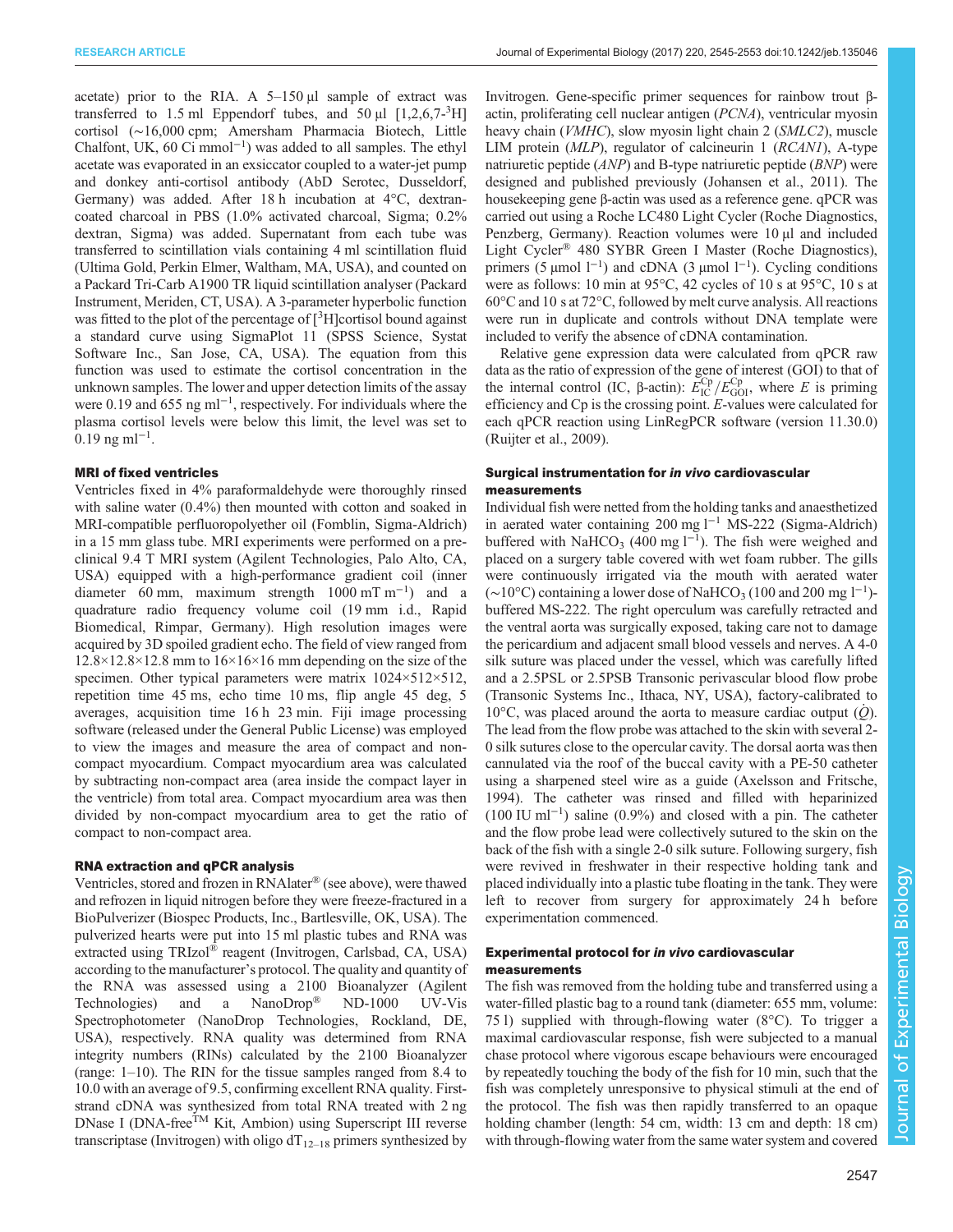acetate) prior to the RIA. A  $5-150 \mu l$  sample of extract was transferred to 1.5 ml Eppendorf tubes, and  $50 \mu$ l [1,2,6,7-<sup>3</sup>H] cortisol (∼16,000 cpm; Amersham Pharmacia Biotech, Little Chalfont, UK, 60 Ci mmol−<sup>1</sup> ) was added to all samples. The ethyl acetate was evaporated in an exsiccator coupled to a water-jet pump and donkey anti-cortisol antibody (AbD Serotec, Dusseldorf, Germany) was added. After 18 h incubation at 4°C, dextrancoated charcoal in PBS (1.0% activated charcoal, Sigma; 0.2% dextran, Sigma) was added. Supernatant from each tube was transferred to scintillation vials containing 4 ml scintillation fluid (Ultima Gold, Perkin Elmer, Waltham, MA, USA), and counted on a Packard Tri-Carb A1900 TR liquid scintillation analyser (Packard Instrument, Meriden, CT, USA). A 3-parameter hyperbolic function was fitted to the plot of the percentage of [3H] cortisol bound against a standard curve using SigmaPlot 11 (SPSS Science, Systat Software Inc., San Jose, CA, USA). The equation from this function was used to estimate the cortisol concentration in the unknown samples. The lower and upper detection limits of the assay were 0.19 and 655 ng ml<sup>-1</sup>, respectively. For individuals where the plasma cortisol levels were below this limit, the level was set to  $0.19$  ng ml<sup>-1</sup>.

## MRI of fixed ventricles

Ventricles fixed in 4% paraformaldehyde were thoroughly rinsed with saline water  $(0.4\%)$  then mounted with cotton and soaked in MRI-compatible perfluoropolyether oil (Fomblin, Sigma-Aldrich) in a 15 mm glass tube. MRI experiments were performed on a preclinical 9.4 T MRI system (Agilent Technologies, Palo Alto, CA, USA) equipped with a high-performance gradient coil (inner diameter 60 mm, maximum strength  $1000 \text{ mT m}^{-1}$  and a quadrature radio frequency volume coil (19 mm i.d., Rapid Biomedical, Rimpar, Germany). High resolution images were acquired by 3D spoiled gradient echo. The field of view ranged from  $12.8\times12.8\times12.8$  mm to  $16\times16\times16$  mm depending on the size of the specimen. Other typical parameters were matrix  $1024 \times 512 \times 512$ , repetition time 45 ms, echo time 10 ms, flip angle 45 deg, 5 averages, acquisition time 16 h 23 min. Fiji image processing software (released under the General Public License) was employed to view the images and measure the area of compact and noncompact myocardium. Compact myocardium area was calculated by subtracting non-compact area (area inside the compact layer in the ventricle) from total area. Compact myocardium area was then divided by non-compact myocardium area to get the ratio of compact to non-compact area.

#### RNA extraction and qPCR analysis

Ventricles, stored and frozen in RNAlater® (see above), were thawed and refrozen in liquid nitrogen before they were freeze-fractured in a BioPulverizer (Biospec Products, Inc., Bartlesville, OK, USA). The pulverized hearts were put into 15 ml plastic tubes and RNA was extracted using TRIzol® reagent (Invitrogen, Carlsbad, CA, USA) according to the manufacturer's protocol. The quality and quantity of the RNA was assessed using a 2100 Bioanalyzer (Agilent Technologies) and a NanoDrop® ND-1000 UV-Vis Spectrophotometer (NanoDrop Technologies, Rockland, DE, USA), respectively. RNA quality was determined from RNA integrity numbers (RINs) calculated by the 2100 Bioanalyzer (range: 1–10). The RIN for the tissue samples ranged from 8.4 to 10.0 with an average of 9.5, confirming excellent RNA quality. Firststrand cDNA was synthesized from total RNA treated with 2 ng DNase I (DNA-free<sup>TM</sup> Kit, Ambion) using Superscript III reverse transcriptase (Invitrogen) with oligo  $dT_{12-18}$  primers synthesized by

Invitrogen. Gene-specific primer sequences for rainbow trout βactin, proliferating cell nuclear antigen (PCNA), ventricular myosin heavy chain (*VMHC*), slow myosin light chain 2 (*SMLC2*), muscle LIM protein (MLP), regulator of calcineurin 1 (RCAN1), A-type natriuretic peptide  $(AND)$  and B-type natriuretic peptide  $(BNP)$  were designed and published previously [\(Johansen et al., 2011\)](#page-7-0). The housekeeping gene β-actin was used as a reference gene. qPCR was carried out using a Roche LC480 Light Cycler (Roche Diagnostics, Penzberg, Germany). Reaction volumes were 10  $\mu$ l and included Light Cycler® 480 SYBR Green I Master (Roche Diagnostics), primers (5 μmol  $1^{-1}$ ) and cDNA (3 μmol  $1^{-1}$ ). Cycling conditions were as follows: 10 min at 95°C, 42 cycles of 10 s at 95°C, 10 s at 60°C and 10 s at 72°C, followed by melt curve analysis. All reactions were run in duplicate and controls without DNA template were included to verify the absence of cDNA contamination.

Relative gene expression data were calculated from qPCR raw data as the ratio of expression of the gene of interest (GOI) to that of the internal control (IC, β-actin):  $\vec{E}_{\text{IC}}^{\text{Cp}}/E_{\text{GOL}}^{\text{Cp}}$ , where *E* is priming efficiency and Cp is the crossing point. E-values were calculated for each qPCR reaction using LinRegPCR software (version 11.30.0) [\(Ruijter et al., 2009](#page-8-0)).

## Surgical instrumentation for in vivo cardiovascular measurements

Individual fish were netted from the holding tanks and anaesthetized in aerated water containing 200 mg l−<sup>1</sup> MS-222 (Sigma-Aldrich) buffered with NaHCO<sub>3</sub> (400 mg l<sup>-1</sup>). The fish were weighed and placed on a surgery table covered with wet foam rubber. The gills were continuously irrigated via the mouth with aerated water (~10°C) containing a lower dose of NaHCO<sub>3</sub> (100 and 200 mg l<sup>-1</sup>)buffered MS-222. The right operculum was carefully retracted and the ventral aorta was surgically exposed, taking care not to damage the pericardium and adjacent small blood vessels and nerves. A 4-0 silk suture was placed under the vessel, which was carefully lifted and a 2.5PSL or 2.5PSB Transonic perivascular blood flow probe (Transonic Systems Inc., Ithaca, NY, USA), factory-calibrated to 10 $^{\circ}$ C, was placed around the aorta to measure cardiac output (*O*). The lead from the flow probe was attached to the skin with several 2- 0 silk sutures close to the opercular cavity. The dorsal aorta was then cannulated via the roof of the buccal cavity with a PE-50 catheter using a sharpened steel wire as a guide ([Axelsson and Fritsche,](#page-7-0) [1994\)](#page-7-0). The catheter was rinsed and filled with heparinized (100 IU ml−<sup>1</sup> ) saline (0.9%) and closed with a pin. The catheter and the flow probe lead were collectively sutured to the skin on the back of the fish with a single 2-0 silk suture. Following surgery, fish were revived in freshwater in their respective holding tank and placed individually into a plastic tube floating in the tank. They were left to recover from surgery for approximately 24 h before experimentation commenced.

## Experimental protocol for in vivo cardiovascular measurements

The fish was removed from the holding tube and transferred using a water-filled plastic bag to a round tank (diameter: 655 mm, volume: 75 l) supplied with through-flowing water (8°C). To trigger a maximal cardiovascular response, fish were subjected to a manual chase protocol where vigorous escape behaviours were encouraged by repeatedly touching the body of the fish for 10 min, such that the fish was completely unresponsive to physical stimuli at the end of the protocol. The fish was then rapidly transferred to an opaque holding chamber (length: 54 cm, width: 13 cm and depth: 18 cm) with through-flowing water from the same water system and covered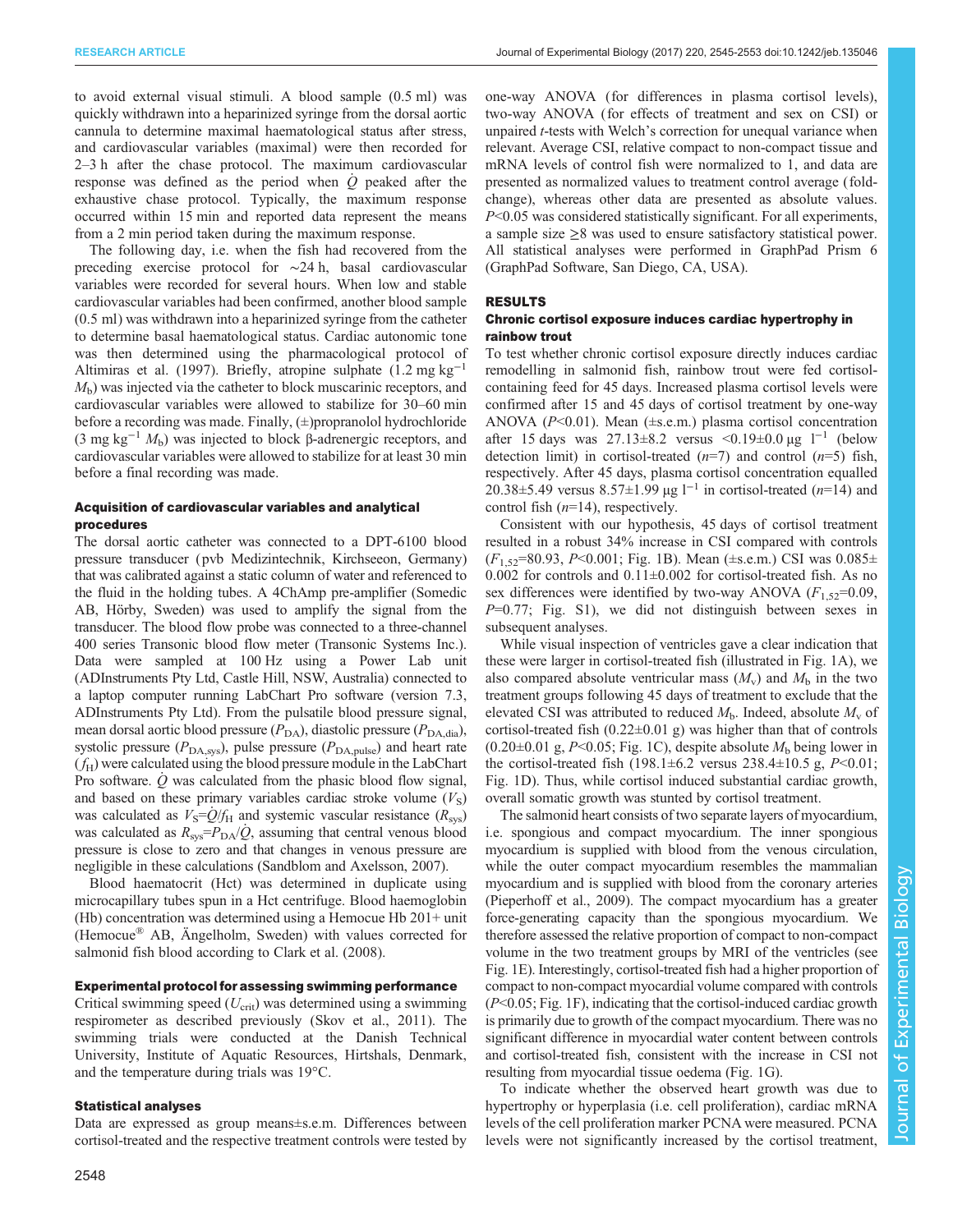to avoid external visual stimuli. A blood sample (0.5 ml) was quickly withdrawn into a heparinized syringe from the dorsal aortic cannula to determine maximal haematological status after stress, and cardiovascular variables (maximal) were then recorded for 2–3 h after the chase protocol. The maximum cardiovascular response was defined as the period when  $\dot{Q}$  peaked after the exhaustive chase protocol. Typically, the maximum response occurred within 15 min and reported data represent the means from a 2 min period taken during the maximum response.

The following day, i.e. when the fish had recovered from the preceding exercise protocol for ∼24 h, basal cardiovascular variables were recorded for several hours. When low and stable cardiovascular variables had been confirmed, another blood sample (0.5 ml) was withdrawn into a heparinized syringe from the catheter to determine basal haematological status. Cardiac autonomic tone was then determined using the pharmacological protocol of [Altimiras et al. \(1997\).](#page-7-0) Briefly, atropine sulphate (1.2 mg kg−<sup>1</sup>  $M<sub>b</sub>$ ) was injected via the catheter to block muscarinic receptors, and cardiovascular variables were allowed to stabilize for 30–60 min before a recording was made. Finally, (±)propranolol hydrochloride (3 mg kg<sup>-1</sup>  $M_b$ ) was injected to block β-adrenergic receptors, and cardiovascular variables were allowed to stabilize for at least 30 min before a final recording was made.

### Acquisition of cardiovascular variables and analytical procedures

The dorsal aortic catheter was connected to a DPT-6100 blood pressure transducer (pvb Medizintechnik, Kirchseeon, Germany) that was calibrated against a static column of water and referenced to the fluid in the holding tubes. A 4ChAmp pre-amplifier (Somedic AB, Hörby, Sweden) was used to amplify the signal from the transducer. The blood flow probe was connected to a three-channel 400 series Transonic blood flow meter (Transonic Systems Inc.). Data were sampled at 100 Hz using a Power Lab unit (ADInstruments Pty Ltd, Castle Hill, NSW, Australia) connected to a laptop computer running LabChart Pro software (version 7.3, ADInstruments Pty Ltd). From the pulsatile blood pressure signal, mean dorsal aortic blood pressure  $(P_{DA})$ , diastolic pressure  $(P_{DA,dia})$ , systolic pressure ( $P_{\text{DA,sys}}$ ), pulse pressure ( $P_{\text{DA,pulse}}$ ) and heart rate  $(f<sub>H</sub>)$  were calculated using the blood pressure module in the LabChart Pro software.  $\dot{Q}$  was calculated from the phasic blood flow signal, and based on these primary variables cardiac stroke volume  $(V<sub>S</sub>)$ was calculated as  $V_S = Q/f_H$  and systemic vascular resistance ( $R_{\rm sys}$ ) was calculated as  $R_{\rm sys} = P_{\rm DA}/\dot{Q}$ , assuming that central venous blood pressure is close to zero and that changes in venous pressure are negligible in these calculations [\(Sandblom and Axelsson, 2007](#page-8-0)).

Blood haematocrit (Hct) was determined in duplicate using microcapillary tubes spun in a Hct centrifuge. Blood haemoglobin (Hb) concentration was determined using a Hemocue Hb 201+ unit (Hemocue® AB, Ängelholm, Sweden) with values corrected for salmonid fish blood according to [Clark et al. \(2008\).](#page-7-0)

#### Experimental protocol for assessing swimming performance

Critical swimming speed  $(U_{\text{crit}})$  was determined using a swimming respirometer as described previously ([Skov et al., 2011\)](#page-8-0). The swimming trials were conducted at the Danish Technical University, Institute of Aquatic Resources, Hirtshals, Denmark, and the temperature during trials was 19°C.

#### Statistical analyses

Data are expressed as group means±s.e.m. Differences between cortisol-treated and the respective treatment controls were tested by one-way ANOVA (for differences in plasma cortisol levels), two-way ANOVA (for effects of treatment and sex on CSI) or unpaired t-tests with Welch's correction for unequal variance when relevant. Average CSI, relative compact to non-compact tissue and mRNA levels of control fish were normalized to 1, and data are presented as normalized values to treatment control average (foldchange), whereas other data are presented as absolute values. P<0.05 was considered statistically significant. For all experiments, a sample size  $\geq$ 8 was used to ensure satisfactory statistical power. All statistical analyses were performed in GraphPad Prism 6 (GraphPad Software, San Diego, CA, USA).

#### RESULTS

## Chronic cortisol exposure induces cardiac hypertrophy in rainbow trout

To test whether chronic cortisol exposure directly induces cardiac remodelling in salmonid fish, rainbow trout were fed cortisolcontaining feed for 45 days. Increased plasma cortisol levels were confirmed after 15 and 45 days of cortisol treatment by one-way ANOVA  $(P<0.01)$ . Mean  $(\pm$ s.e.m.) plasma cortisol concentration after 15 days was  $27.13\pm8.2$  versus <0.19 $\pm$ 0.0 µg l<sup>-1</sup> (below detection limit) in cortisol-treated  $(n=7)$  and control  $(n=5)$  fish, respectively. After 45 days, plasma cortisol concentration equalled 20.38±5.49 versus 8.57±1.99 µg  $1^{-1}$  in cortisol-treated (n=14) and control fish  $(n=14)$ , respectively.

Consistent with our hypothesis, 45 days of cortisol treatment resulted in a robust 34% increase in CSI compared with controls  $(F_{1.52} = 80.93, P < 0.001$ ; [Fig. 1](#page-4-0)B). Mean (±s.e.m.) CSI was  $0.085 \pm$ 0.002 for controls and  $0.11 \pm 0.002$  for cortisol-treated fish. As no sex differences were identified by two-way ANOVA  $(F_{1,52}=0.09,$  $P=0.77$ ; [Fig. S1\)](http://jeb.biologists.org/lookup/doi/10.1242/jeb.135046.supplemental), we did not distinguish between sexes in subsequent analyses.

While visual inspection of ventricles gave a clear indication that these were larger in cortisol-treated fish (illustrated in [Fig. 1](#page-4-0)A), we also compared absolute ventricular mass  $(M_v)$  and  $M_b$  in the two treatment groups following 45 days of treatment to exclude that the elevated CSI was attributed to reduced  $M_b$ . Indeed, absolute  $M_v$  of cortisol-treated fish  $(0.22 \pm 0.01 \text{ g})$  was higher than that of controls  $(0.20\pm0.01 \text{ g}, P<0.05; \text{Fig. 1C})$ , despite absolute  $M<sub>b</sub>$  being lower in the cortisol-treated fish (198.1 $\pm$ 6.2 versus 238.4 $\pm$ 10.5 g, P<0.01; [Fig. 1D](#page-4-0)). Thus, while cortisol induced substantial cardiac growth, overall somatic growth was stunted by cortisol treatment.

The salmonid heart consists of two separate layers of myocardium, i.e. spongious and compact myocardium. The inner spongious myocardium is supplied with blood from the venous circulation, while the outer compact myocardium resembles the mammalian myocardium and is supplied with blood from the coronary arteries [\(Pieperhoff et al., 2009\)](#page-7-0). The compact myocardium has a greater force-generating capacity than the spongious myocardium. We therefore assessed the relative proportion of compact to non-compact volume in the two treatment groups by MRI of the ventricles (see [Fig. 1](#page-4-0)E). Interestingly, cortisol-treated fish had a higher proportion of compact to non-compact myocardial volume compared with controls (P<0.05; [Fig. 1](#page-4-0)F), indicating that the cortisol-induced cardiac growth is primarily due to growth of the compact myocardium. There was no significant difference in myocardial water content between controls and cortisol-treated fish, consistent with the increase in CSI not resulting from myocardial tissue oedema [\(Fig. 1](#page-4-0)G).

To indicate whether the observed heart growth was due to hypertrophy or hyperplasia (i.e. cell proliferation), cardiac mRNA levels of the cell proliferation marker PCNA were measured. PCNA levels were not significantly increased by the cortisol treatment,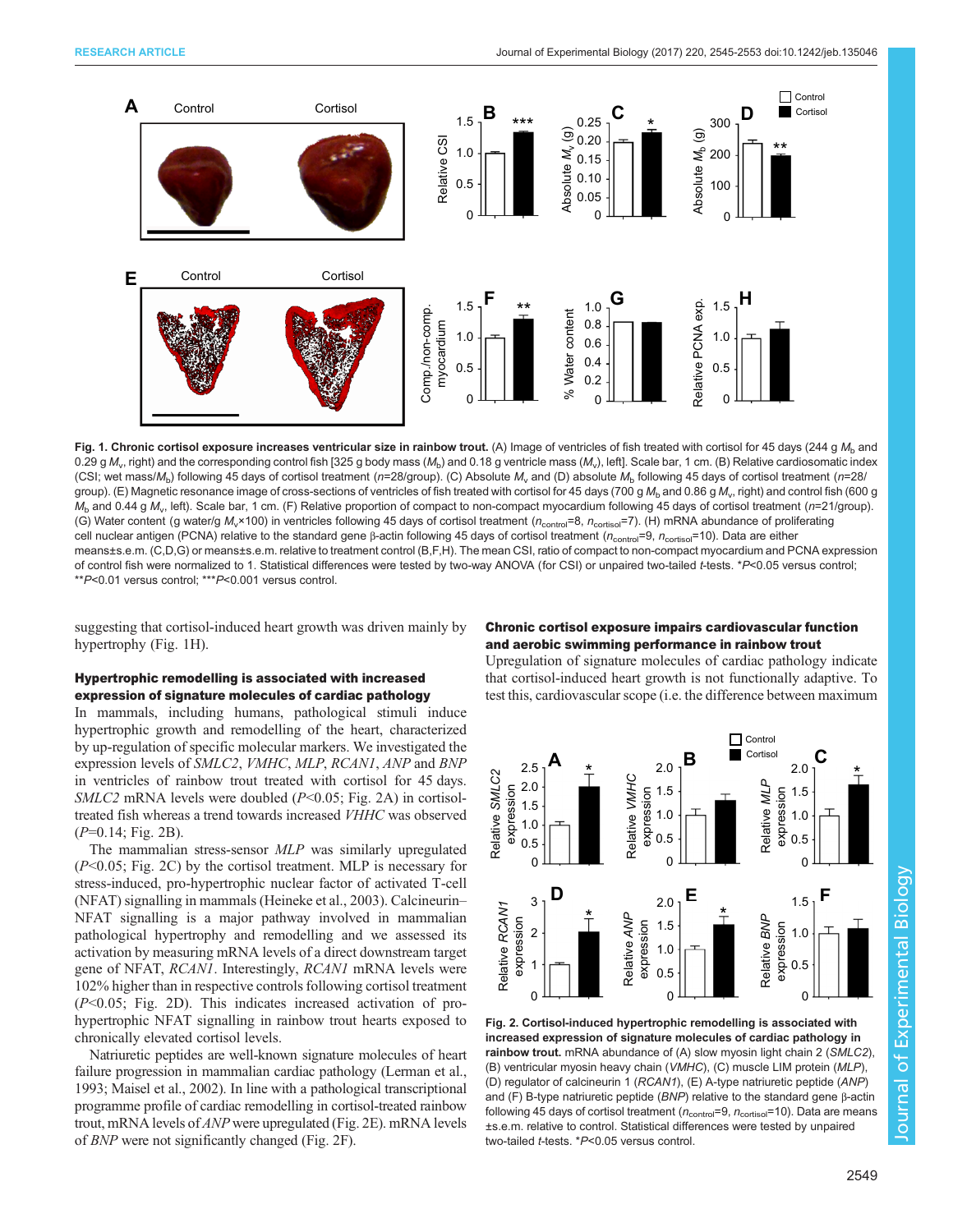<span id="page-4-0"></span>

Fig. 1. Chronic cortisol exposure increases ventricular size in rainbow trout. (A) Image of ventricles of fish treated with cortisol for 45 days (244 g  $M<sub>b</sub>$  and 0.29 g  $M_v$ , right) and the corresponding control fish [325 g body mass ( $M_b$ ) and 0.18 g ventricle mass ( $M_v$ ), left]. Scale bar, 1 cm. (B) Relative cardiosomatic index (CSI; wet mass/ $M<sub>b</sub>$ ) following 45 days of cortisol treatment (n=28/group). (C) Absolute  $M<sub>v</sub>$  and (D) absolute  $M<sub>b</sub>$  following 45 days of cortisol treatment (n=28/ group). (E) Magnetic resonance image of cross-sections of ventricles of fish treated with cortisol for 45 days (700 g M<sub>b</sub> and 0.86 g M<sub>v</sub>, right) and control fish (600 g  $M_b$  and 0.44 g  $M_v$ , left). Scale bar, 1 cm. (F) Relative proportion of compact to non-compact myocardium following 45 days of cortisol treatment (n=21/group). (G) Water content (g water/g M<sub>v</sub>×100) in ventricles following 45 days of cortisol treatment (n<sub>control</sub>=8, n<sub>cortisol</sub>=7). (H) mRNA abundance of proliferating cell nuclear antigen (PCNA) relative to the standard gene β-actin following 45 days of cortisol treatment ( $n_{\text{control}}$ =9,  $n_{\text{control}}$ =10). Data are either means±s.e.m. (C,D,G) or means±s.e.m. relative to treatment control (B,F,H). The mean CSI, ratio of compact to non-compact myocardium and PCNA expression of control fish were normalized to 1. Statistical differences were tested by two-way ANOVA (for CSI) or unpaired two-tailed t-tests. \*P<0.05 versus control; \*\*P<0.01 versus control; \*\*\*P<0.001 versus control.

suggesting that cortisol-induced heart growth was driven mainly by hypertrophy (Fig. 1H).

# Hypertrophic remodelling is associated with increased expression of signature molecules of cardiac pathology

In mammals, including humans, pathological stimuli induce hypertrophic growth and remodelling of the heart, characterized by up-regulation of specific molecular markers. We investigated the expression levels of SMLC2, VMHC, MLP, RCAN1, ANP and BNP in ventricles of rainbow trout treated with cortisol for 45 days.  $SMLC2$  mRNA levels were doubled ( $P<0.05$ ; Fig. 2A) in cortisoltreated fish whereas a trend towards increased VHHC was observed  $(P=0.14; Fig. 2B)$ .

The mammalian stress-sensor MLP was similarly upregulated  $(P<0.05$ ; Fig. 2C) by the cortisol treatment. MLP is necessary for stress-induced, pro-hypertrophic nuclear factor of activated T-cell (NFAT) signalling in mammals ([Heineke et al., 2003\)](#page-7-0). Calcineurin– NFAT signalling is a major pathway involved in mammalian pathological hypertrophy and remodelling and we assessed its activation by measuring mRNA levels of a direct downstream target gene of NFAT, RCAN1. Interestingly, RCAN1 mRNA levels were 102% higher than in respective controls following cortisol treatment (P<0.05; Fig. 2D). This indicates increased activation of prohypertrophic NFAT signalling in rainbow trout hearts exposed to chronically elevated cortisol levels.

Natriuretic peptides are well-known signature molecules of heart failure progression in mammalian cardiac pathology ([Lerman et al.,](#page-7-0) [1993; Maisel et al., 2002](#page-7-0)). In line with a pathological transcriptional programme profile of cardiac remodelling in cortisol-treated rainbow trout, mRNA levels of ANP were upregulated (Fig. 2E). mRNA levels of BNP were not significantly changed (Fig. 2F).

## Chronic cortisol exposure impairs cardiovascular function and aerobic swimming performance in rainbow trout

Upregulation of signature molecules of cardiac pathology indicate that cortisol-induced heart growth is not functionally adaptive. To test this, cardiovascular scope (i.e. the difference between maximum



Fig. 2. Cortisol-induced hypertrophic remodelling is associated with increased expression of signature molecules of cardiac pathology in rainbow trout. mRNA abundance of (A) slow myosin light chain 2 (SMLC2), (B) ventricular myosin heavy chain (VMHC), (C) muscle LIM protein (MLP), (D) regulator of calcineurin 1 (RCAN1), (E) A-type natriuretic peptide (ANP) and (F) B-type natriuretic peptide (BNP) relative to the standard gene β-actin following 45 days of cortisol treatment ( $n_{\text{control}}=9$ ,  $n_{\text{cortiso}}=10$ ). Data are means ±s.e.m. relative to control. Statistical differences were tested by unpaired two-tailed t-tests. \*P<0.05 versus control.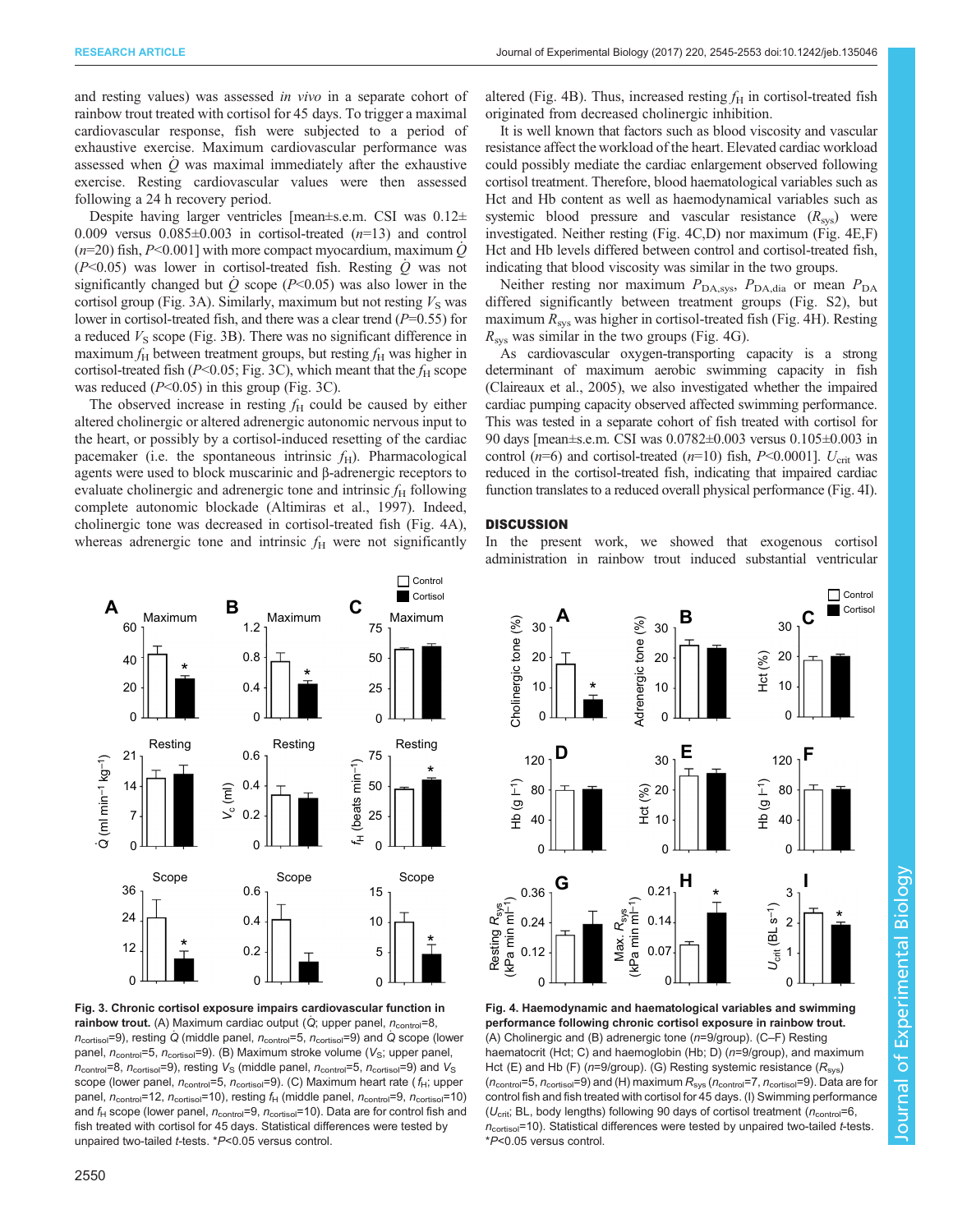and resting values) was assessed in vivo in a separate cohort of rainbow trout treated with cortisol for 45 days. To trigger a maximal cardiovascular response, fish were subjected to a period of exhaustive exercise. Maximum cardiovascular performance was assessed when  $\dot{Q}$  was maximal immediately after the exhaustive exercise. Resting cardiovascular values were then assessed following a 24 h recovery period.

Despite having larger ventricles [mean±s.e.m. CSI was 0.12± 0.009 versus  $0.085\pm0.003$  in cortisol-treated  $(n=13)$  and control  $(n=20)$  fish, P<0.001] with more compact myocardium, maximum Q  $(P<0.05)$  was lower in cortisol-treated fish. Resting Q was not significantly changed but  $\dot{Q}$  scope (P<0.05) was also lower in the cortisol group (Fig. 3A). Similarly, maximum but not resting  $V<sub>S</sub>$  was lower in cortisol-treated fish, and there was a clear trend  $(P=0.55)$  for a reduced  $V<sub>S</sub>$  scope (Fig. 3B). There was no significant difference in maximum  $f_H$  between treatment groups, but resting  $f_H$  was higher in cortisol-treated fish ( $P<0.05$ ; Fig. 3C), which meant that the  $f_H$  scope was reduced  $(P<0.05)$  in this group (Fig. 3C).

The observed increase in resting  $f<sub>H</sub>$  could be caused by either altered cholinergic or altered adrenergic autonomic nervous input to the heart, or possibly by a cortisol-induced resetting of the cardiac pacemaker (i.e. the spontaneous intrinsic  $f<sub>H</sub>$ ). Pharmacological agents were used to block muscarinic and β-adrenergic receptors to evaluate cholinergic and adrenergic tone and intrinsic  $f_H$  following complete autonomic blockade [\(Altimiras et al., 1997\)](#page-7-0). Indeed, cholinergic tone was decreased in cortisol-treated fish (Fig. 4A), whereas adrenergic tone and intrinsic  $f<sub>H</sub>$  were not significantly

altered (Fig. 4B). Thus, increased resting  $f<sub>H</sub>$  in cortisol-treated fish originated from decreased cholinergic inhibition.

It is well known that factors such as blood viscosity and vascular resistance affect the workload of the heart. Elevated cardiac workload could possibly mediate the cardiac enlargement observed following cortisol treatment. Therefore, blood haematological variables such as Hct and Hb content as well as haemodynamical variables such as systemic blood pressure and vascular resistance  $(R_{\rm sw})$  were investigated. Neither resting (Fig. 4C,D) nor maximum (Fig. 4E,F) Hct and Hb levels differed between control and cortisol-treated fish, indicating that blood viscosity was similar in the two groups.

Neither resting nor maximum  $P_{\text{DA,sys}}$ ,  $P_{\text{DA,dia}}$  or mean  $P_{\text{DA}}$ differed significantly between treatment groups ([Fig. S2\)](http://jeb.biologists.org/lookup/doi/10.1242/jeb.135046.supplemental), but maximum  $R_{\rm sys}$  was higher in cortisol-treated fish (Fig. 4H). Resting  $R_{\rm sys}$  was similar in the two groups (Fig. 4G).

As cardiovascular oxygen-transporting capacity is a strong determinant of maximum aerobic swimming capacity in fish [\(Claireaux et al., 2005\)](#page-7-0), we also investigated whether the impaired cardiac pumping capacity observed affected swimming performance. This was tested in a separate cohort of fish treated with cortisol for 90 days [mean±s.e.m. CSI was 0.0782±0.003 versus 0.105±0.003 in control ( $n=6$ ) and cortisol-treated ( $n=10$ ) fish,  $P<0.0001$ ].  $U_{\rm crit}$  was reduced in the cortisol-treated fish, indicating that impaired cardiac function translates to a reduced overall physical performance (Fig. 4I).

#### **DISCUSSION**

In the present work, we showed that exogenous cortisol administration in rainbow trout induced substantial ventricular



Fig. 3. Chronic cortisol exposure impairs cardiovascular function in rainbow trout. (A) Maximum cardiac output ( $\dot{Q}$ ; upper panel,  $n_{\text{control}}=8$ ,  $n_{\text{cortiso}}$ =9), resting Q (middle panel,  $n_{\text{control}}$ =5,  $n_{\text{cortiso}}$ =9) and Q scope (lower panel,  $n_{\text{control}}$ =5,  $n_{\text{cortiso}}$ =9). (B) Maximum stroke volume ( $V_{\text{S}}$ ; upper panel,  $n_{\text{control}}$ =8,  $n_{\text{cortisol}}$ =9), resting  $V_{\text{S}}$  (middle panel,  $n_{\text{control}}$ =5,  $n_{\text{cortisol}}$ =9) and  $V_{\text{S}}$ scope (lower panel,  $n_{\text{control}}=5$ ,  $n_{\text{cortiso}}=9$ ). (C) Maximum heart rate ( $f_H$ ; upper panel,  $n_{\text{control}}$ =12,  $n_{\text{cortisol}}$ =10), resting  $f_H$  (middle panel,  $n_{\text{control}}$ =9,  $n_{\text{cortisol}}$ =10) and  $f_H$  scope (lower panel,  $n_{\text{control}}=9$ ,  $n_{\text{cortiso}}=10$ ). Data are for control fish and fish treated with cortisol for 45 days. Statistical differences were tested by unpaired two-tailed t-tests. \*P<0.05 versus control.



Fig. 4. Haemodynamic and haematological variables and swimming performance following chronic cortisol exposure in rainbow trout. (A) Cholinergic and (B) adrenergic tone (n=9/group). (C–F) Resting haematocrit (Hct; C) and haemoglobin (Hb; D) (n=9/group), and maximum Hct (E) and Hb (F) ( $n=9$ /group). (G) Resting systemic resistance ( $R_{\text{sys}}$ )  $(n_{\text{control}}=5, n_{\text{cortisol}}=9)$  and (H) maximum  $R_{\text{sys}}(n_{\text{control}}=7, n_{\text{cortisol}}=9)$ . Data are for control fish and fish treated with cortisol for 45 days. (I) Swimming performance ( $U_{\text{crit}}$ ; BL, body lengths) following 90 days of cortisol treatment ( $n_{\text{control}}=6$ ,  $n_{\text{cortiso}}$ =10). Statistical differences were tested by unpaired two-tailed t-tests. \*P<0.05 versus control.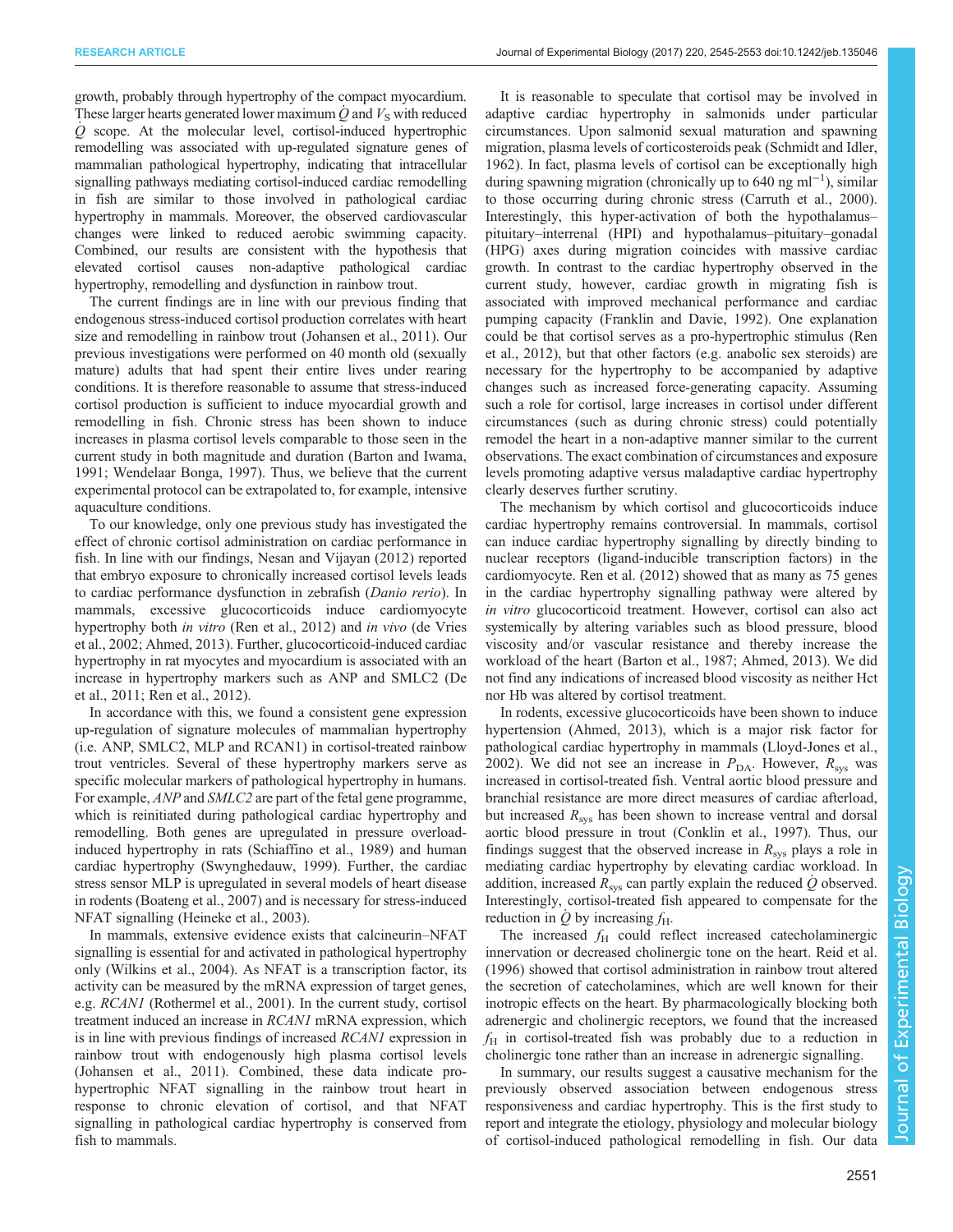growth, probably through hypertrophy of the compact myocardium. These larger hearts generated lower maximum Q and  $V<sub>S</sub>$  with reduced  $\overline{Q}$  scope. At the molecular level, cortisol-induced hypertrophic remodelling was associated with up-regulated signature genes of mammalian pathological hypertrophy, indicating that intracellular signalling pathways mediating cortisol-induced cardiac remodelling in fish are similar to those involved in pathological cardiac hypertrophy in mammals. Moreover, the observed cardiovascular changes were linked to reduced aerobic swimming capacity. Combined, our results are consistent with the hypothesis that elevated cortisol causes non-adaptive pathological cardiac hypertrophy, remodelling and dysfunction in rainbow trout.

The current findings are in line with our previous finding that endogenous stress-induced cortisol production correlates with heart size and remodelling in rainbow trout ([Johansen et al., 2011](#page-7-0)). Our previous investigations were performed on 40 month old (sexually mature) adults that had spent their entire lives under rearing conditions. It is therefore reasonable to assume that stress-induced cortisol production is sufficient to induce myocardial growth and remodelling in fish. Chronic stress has been shown to induce increases in plasma cortisol levels comparable to those seen in the current study in both magnitude and duration [\(Barton and Iwama,](#page-7-0) [1991](#page-7-0); [Wendelaar Bonga, 1997](#page-8-0)). Thus, we believe that the current experimental protocol can be extrapolated to, for example, intensive aquaculture conditions.

To our knowledge, only one previous study has investigated the effect of chronic cortisol administration on cardiac performance in fish. In line with our findings, [Nesan and Vijayan \(2012\)](#page-7-0) reported that embryo exposure to chronically increased cortisol levels leads to cardiac performance dysfunction in zebrafish (Danio rerio). In mammals, excessive glucocorticoids induce cardiomyocyte hypertrophy both *in vitro* [\(Ren et al., 2012\)](#page-7-0) and *in vivo* ([de Vries](#page-7-0) [et al., 2002](#page-7-0); [Ahmed, 2013\)](#page-7-0). Further, glucocorticoid-induced cardiac hypertrophy in rat myocytes and myocardium is associated with an increase in hypertrophy markers such as ANP and SMLC2 ([De](#page-7-0) [et al., 2011; Ren et al., 2012](#page-7-0)).

In accordance with this, we found a consistent gene expression up-regulation of signature molecules of mammalian hypertrophy (i.e. ANP, SMLC2, MLP and RCAN1) in cortisol-treated rainbow trout ventricles. Several of these hypertrophy markers serve as specific molecular markers of pathological hypertrophy in humans. For example, ANP and SMLC2 are part of the fetal gene programme, which is reinitiated during pathological cardiac hypertrophy and remodelling. Both genes are upregulated in pressure overloadinduced hypertrophy in rats [\(Schiaffino et al., 1989\)](#page-8-0) and human cardiac hypertrophy [\(Swynghedauw, 1999\)](#page-8-0). Further, the cardiac stress sensor MLP is upregulated in several models of heart disease in rodents [\(Boateng et al., 2007](#page-7-0)) and is necessary for stress-induced NFAT signalling ([Heineke et al., 2003\)](#page-7-0).

In mammals, extensive evidence exists that calcineurin–NFAT signalling is essential for and activated in pathological hypertrophy only [\(Wilkins et al., 2004\)](#page-8-0). As NFAT is a transcription factor, its activity can be measured by the mRNA expression of target genes, e.g. RCAN1 [\(Rothermel et al., 2001](#page-8-0)). In the current study, cortisol treatment induced an increase in RCAN1 mRNA expression, which is in line with previous findings of increased RCAN1 expression in rainbow trout with endogenously high plasma cortisol levels [\(Johansen et al., 2011\)](#page-7-0). Combined, these data indicate prohypertrophic NFAT signalling in the rainbow trout heart in response to chronic elevation of cortisol, and that NFAT signalling in pathological cardiac hypertrophy is conserved from fish to mammals.

It is reasonable to speculate that cortisol may be involved in adaptive cardiac hypertrophy in salmonids under particular circumstances. Upon salmonid sexual maturation and spawning migration, plasma levels of corticosteroids peak ([Schmidt and Idler,](#page-8-0) [1962\)](#page-8-0). In fact, plasma levels of cortisol can be exceptionally high during spawning migration (chronically up to 640 ng ml<sup>-1</sup>), similar to those occurring during chronic stress ([Carruth et al., 2000\)](#page-7-0). Interestingly, this hyper-activation of both the hypothalamus– pituitary–interrenal (HPI) and hypothalamus–pituitary–gonadal (HPG) axes during migration coincides with massive cardiac growth. In contrast to the cardiac hypertrophy observed in the current study, however, cardiac growth in migrating fish is associated with improved mechanical performance and cardiac pumping capacity ([Franklin and Davie, 1992\)](#page-7-0). One explanation could be that cortisol serves as a pro-hypertrophic stimulus ([Ren](#page-7-0) [et al., 2012\)](#page-7-0), but that other factors (e.g. anabolic sex steroids) are necessary for the hypertrophy to be accompanied by adaptive changes such as increased force-generating capacity. Assuming such a role for cortisol, large increases in cortisol under different circumstances (such as during chronic stress) could potentially remodel the heart in a non-adaptive manner similar to the current observations. The exact combination of circumstances and exposure levels promoting adaptive versus maladaptive cardiac hypertrophy clearly deserves further scrutiny.

The mechanism by which cortisol and glucocorticoids induce cardiac hypertrophy remains controversial. In mammals, cortisol can induce cardiac hypertrophy signalling by directly binding to nuclear receptors (ligand-inducible transcription factors) in the cardiomyocyte. [Ren et al. \(2012\)](#page-7-0) showed that as many as 75 genes in the cardiac hypertrophy signalling pathway were altered by in vitro glucocorticoid treatment. However, cortisol can also act systemically by altering variables such as blood pressure, blood viscosity and/or vascular resistance and thereby increase the workload of the heart [\(Barton et al., 1987](#page-7-0); [Ahmed, 2013](#page-7-0)). We did not find any indications of increased blood viscosity as neither Hct nor Hb was altered by cortisol treatment.

In rodents, excessive glucocorticoids have been shown to induce hypertension ([Ahmed, 2013\)](#page-7-0), which is a major risk factor for pathological cardiac hypertrophy in mammals [\(Lloyd-Jones et al.,](#page-7-0) [2002\)](#page-7-0). We did not see an increase in  $P_{DA}$ . However,  $R_{sys}$  was increased in cortisol-treated fish. Ventral aortic blood pressure and branchial resistance are more direct measures of cardiac afterload, but increased  $R_{\rm sys}$  has been shown to increase ventral and dorsal aortic blood pressure in trout ([Conklin et al., 1997](#page-7-0)). Thus, our findings suggest that the observed increase in  $R_{\rm sys}$  plays a role in mediating cardiac hypertrophy by elevating cardiac workload. In addition, increased  $R_{\rm sys}$  can partly explain the reduced  $\dot{Q}$  observed. Interestingly, cortisol-treated fish appeared to compensate for the reduction in Q by increasing  $f_{\rm H}$ .

The increased  $f_H$  could reflect increased catecholaminergic innervation or decreased cholinergic tone on the heart. [Reid et al.](#page-7-0) [\(1996\)](#page-7-0) showed that cortisol administration in rainbow trout altered the secretion of catecholamines, which are well known for their inotropic effects on the heart. By pharmacologically blocking both adrenergic and cholinergic receptors, we found that the increased  $f_H$  in cortisol-treated fish was probably due to a reduction in cholinergic tone rather than an increase in adrenergic signalling.

In summary, our results suggest a causative mechanism for the previously observed association between endogenous stress responsiveness and cardiac hypertrophy. This is the first study to report and integrate the etiology, physiology and molecular biology of cortisol-induced pathological remodelling in fish. Our data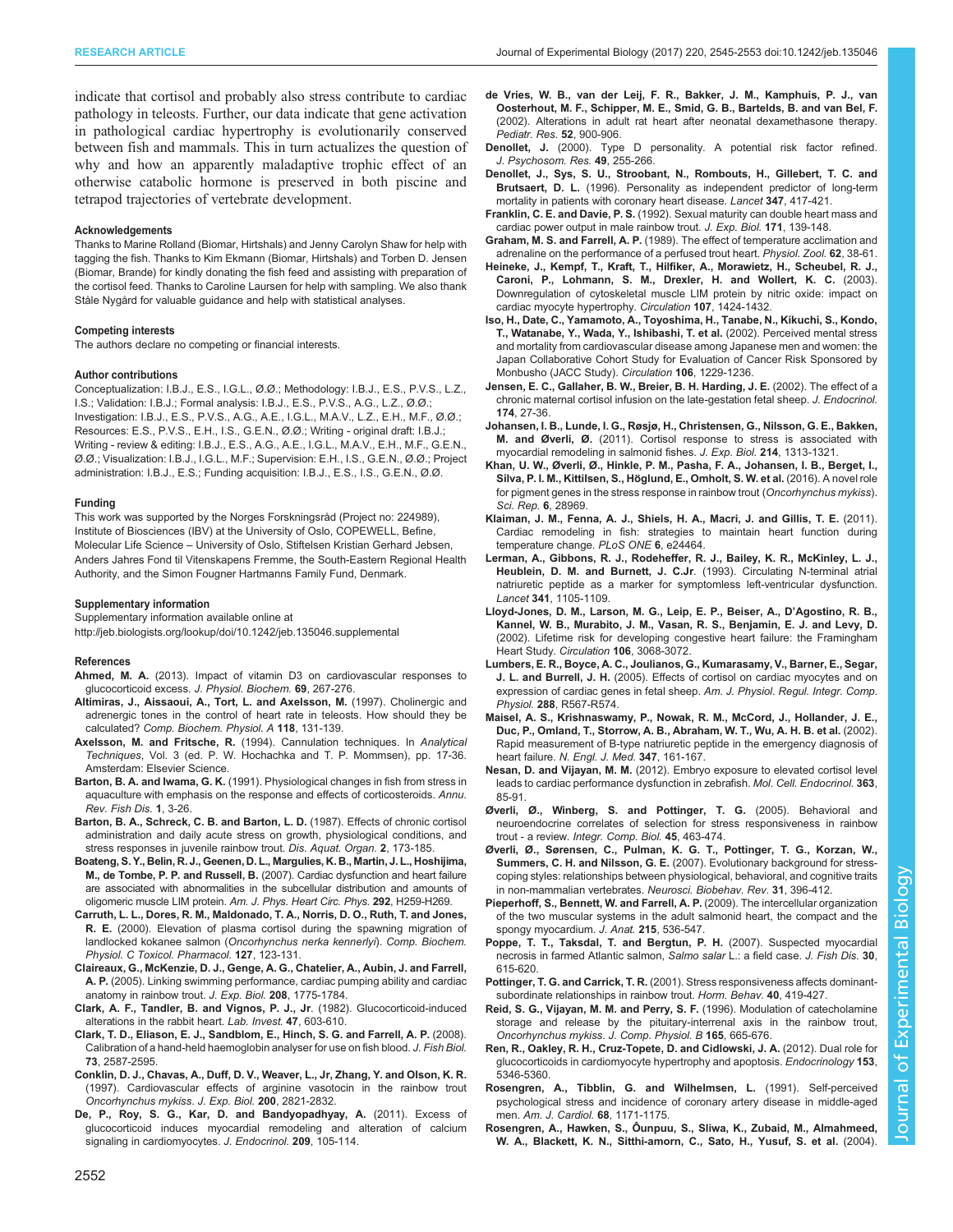<span id="page-7-0"></span>RESEARCH ARTICLE **ARTICLE** ARTICLE ARTICLE **Journal of Experimental Biology (2017)** 220, 2545-2553 doi:10.1242/jeb.135046

indicate that cortisol and probably also stress contribute to cardiac pathology in teleosts. Further, our data indicate that gene activation in pathological cardiac hypertrophy is evolutionarily conserved between fish and mammals. This in turn actualizes the question of why and how an apparently maladaptive trophic effect of an otherwise catabolic hormone is preserved in both piscine and tetrapod trajectories of vertebrate development.

#### Acknowledgements

Thanks to Marine Rolland (Biomar, Hirtshals) and Jenny Carolyn Shaw for help with tagging the fish. Thanks to Kim Ekmann (Biomar, Hirtshals) and Torben D. Jensen (Biomar, Brande) for kindly donating the fish feed and assisting with preparation of the cortisol feed. Thanks to Caroline Laursen for help with sampling. We also thank Ståle Nygård for valuable guidance and help with statistical analyses.

#### Competing interests

The authors declare no competing or financial interests.

#### Author contributions

Conceptualization: I.B.J., E.S., I.G.L., Ø.Ø.; Methodology: I.B.J., E.S., P.V.S., L.Z., I.S.; Validation: I.B.J.; Formal analysis: I.B.J., E.S., P.V.S., A.G., L.Z., Ø.Ø.; Investigation: I.B.J., E.S., P.V.S., A.G., A.E., I.G.L., M.A.V., L.Z., E.H., M.F., Ø.Ø.; Resources: E.S., P.V.S., E.H., I.S., G.E.N., Ø.Ø.; Writing - original draft: I.B.J.; Writing - review & editing: I.B.J., E.S., A.G., A.E., I.G.L., M.A.V., E.H., M.F., G.E.N., Ø.Ø.; Visualization: I.B.J., I.G.L., M.F.; Supervision: E.H., I.S., G.E.N., Ø.Ø.; Project administration: I.B.J., E.S.; Funding acquisition: I.B.J., E.S., I.S., G.E.N., Ø.Ø.

#### Funding

This work was supported by the Norges Forskningsråd (Project no: 224989), Institute of Biosciences (IBV) at the University of Oslo, COPEWELL, Befine, Molecular Life Science – University of Oslo, Stiftelsen Kristian Gerhard Jebsen, Anders Jahres Fond til Vitenskapens Fremme, the South-Eastern Regional Health Authority, and the Simon Fougner Hartmanns Family Fund, Denmark.

#### Supplementary information

Supplementary information available online at <http://jeb.biologists.org/lookup/doi/10.1242/jeb.135046.supplemental>

#### References

- Ahmed, M. A. [\(2013\). Impact of vitamin D3 on cardiovascular responses to](http://dx.doi.org/10.1007/s13105-012-0209-4) [glucocorticoid excess.](http://dx.doi.org/10.1007/s13105-012-0209-4) J. Physiol. Biochem. 69, 267-276.
- [Altimiras, J., Aissaoui, A., Tort, L. and Axelsson, M.](http://dx.doi.org/10.1016/S0300-9629(96)00402-1) (1997). Cholinergic and [adrenergic tones in the control of heart rate in teleosts. How should they be](http://dx.doi.org/10.1016/S0300-9629(96)00402-1) calculated? [Comp. Biochem. Physiol. A](http://dx.doi.org/10.1016/S0300-9629(96)00402-1) 118, 131-139.
- Axelsson, M. and Fritsche, R. (1994). Cannulation techniques. In Analytical Techniques, Vol. 3 (ed. P. W. Hochachka and T. P. Mommsen), pp. 17-36. Amsterdam: Elsevier Science.
- Barton, B. A. and Iwama, G. K. [\(1991\). Physiological changes in fish from stress in](http://dx.doi.org/10.1016/0959-8030(91)90019-G) [aquaculture with emphasis on the response and effects of corticosteroids.](http://dx.doi.org/10.1016/0959-8030(91)90019-G) Annu. [Rev. Fish Dis.](http://dx.doi.org/10.1016/0959-8030(91)90019-G) 1, 3-26.
- [Barton, B. A., Schreck, C. B. and Barton, L. D.](http://dx.doi.org/10.3354/dao002173) (1987). Effects of chronic cortisol [administration and daily acute stress on growth, physiological conditions, and](http://dx.doi.org/10.3354/dao002173) [stress responses in juvenile rainbow trout.](http://dx.doi.org/10.3354/dao002173) Dis. Aquat. Organ. 2, 173-185.
- [Boateng, S. Y., Belin, R. J., Geenen, D. L., Margulies, K. B., Martin, J. L., Hoshijima,](http://dx.doi.org/10.1152/ajpheart.00766.2006) M., de Tombe, P. P. and Russell, B. [\(2007\). Cardiac dysfunction and heart failure](http://dx.doi.org/10.1152/ajpheart.00766.2006) [are associated with abnormalities in the subcellular distribution and amounts of](http://dx.doi.org/10.1152/ajpheart.00766.2006) [oligomeric muscle LIM protein.](http://dx.doi.org/10.1152/ajpheart.00766.2006) Am. J. Phys. Heart Circ. Phys. 292, H259-H269.
- [Carruth, L. L., Dores, R. M., Maldonado, T. A., Norris, D. O., Ruth, T. and Jones,](http://dx.doi.org/10.1016/s0742-8413(00)00140-7) R. E. [\(2000\). Elevation of plasma cortisol during the spawning migration of](http://dx.doi.org/10.1016/s0742-8413(00)00140-7) landlocked kokanee salmon ([Oncorhynchus nerka kennerlyi](http://dx.doi.org/10.1016/s0742-8413(00)00140-7)). Comp. Biochem. [Physiol. C Toxicol. Pharmacol.](http://dx.doi.org/10.1016/s0742-8413(00)00140-7) 127, 123-131.
- [Claireaux, G., McKenzie, D. J., Genge, A. G., Chatelier, A., Aubin, J. and Farrell,](http://dx.doi.org/10.1242/jeb.01587) A. P. [\(2005\). Linking swimming performance, cardiac pumping ability and cardiac](http://dx.doi.org/10.1242/jeb.01587) [anatomy in rainbow trout.](http://dx.doi.org/10.1242/jeb.01587) J. Exp. Biol. 208, 1775-1784.
- Clark, A. F., Tandler, B. and Vignos, P. J., Jr. (1982). Glucocorticoid-induced alterations in the rabbit heart. Lab. Invest. 47, 603-610.
- [Clark, T. D., Eliason, E. J., Sandblom, E., Hinch, S. G. and Farrell, A. P.](http://dx.doi.org/10.1111/j.1095-8649.2008.02109.x) (2008). [Calibration of a hand-held haemoglobin analyser for use on fish blood.](http://dx.doi.org/10.1111/j.1095-8649.2008.02109.x) J. Fish Biol. 73[, 2587-2595.](http://dx.doi.org/10.1111/j.1095-8649.2008.02109.x)
- Conklin, D. J., Chavas, A., Duff, D. V., Weaver, L., Jr, Zhang, Y. and Olson, K. R. (1997). Cardiovascular effects of arginine vasotocin in the rainbow trout Oncorhynchus mykiss. J. Exp. Biol. 200, 2821-2832.
- [De, P., Roy, S. G., Kar, D. and Bandyopadhyay, A.](http://dx.doi.org/10.1530/JOE-10-0431) (2011). Excess of [glucocorticoid induces myocardial remodeling and alteration of calcium](http://dx.doi.org/10.1530/JOE-10-0431) [signaling in cardiomyocytes.](http://dx.doi.org/10.1530/JOE-10-0431) J. Endocrinol. 209, 105-114.
- [de Vries, W. B., van der Leij, F. R., Bakker, J. M., Kamphuis, P. J., van](http://dx.doi.org/10.1203/01.PDR.0000036281.74804.27) [Oosterhout, M. F., Schipper, M. E., Smid, G. B., Bartelds, B. and van Bel, F.](http://dx.doi.org/10.1203/01.PDR.0000036281.74804.27) [\(2002\). Alterations in adult rat heart after neonatal dexamethasone therapy.](http://dx.doi.org/10.1203/01.PDR.0000036281.74804.27) [Pediatr. Res.](http://dx.doi.org/10.1203/01.PDR.0000036281.74804.27) 52, 900-906.
- Denollet, J. [\(2000\). Type D personality. A potential risk factor refined.](http://dx.doi.org/10.1016/s0022-3999(00)00177-x) [J. Psychosom. Res.](http://dx.doi.org/10.1016/s0022-3999(00)00177-x) 49, 255-266.
- [Denollet, J., Sys, S. U., Stroobant, N., Rombouts, H., Gillebert, T. C. and](http://dx.doi.org/10.1016/S0140-6736(96)90007-0) Brutsaert, D. L. [\(1996\). Personality as independent predictor of long-term](http://dx.doi.org/10.1016/S0140-6736(96)90007-0) [mortality in patients with coronary heart disease.](http://dx.doi.org/10.1016/S0140-6736(96)90007-0) Lancet 347, 417-421.
- Franklin, C. E. and Davie, P. S. (1992). Sexual maturity can double heart mass and cardiac power output in male rainbow trout. J. Exp. Biol. 171, 139-148.
- Graham, M. S. and Farrell, A. P. [\(1989\). The effect of temperature acclimation and](http://dx.doi.org/10.1086/physzool.62.1.30159997) [adrenaline on the performance of a perfused trout heart.](http://dx.doi.org/10.1086/physzool.62.1.30159997) Physiol. Zool. 62, 38-61.
- [Heineke, J., Kempf, T., Kraft, T., Hilfiker, A., Morawietz, H., Scheubel, R. J.,](http://dx.doi.org/10.1161/01.CIR.0000055319.94801.FC) [Caroni, P., Lohmann, S. M., Drexler, H. and Wollert, K. C.](http://dx.doi.org/10.1161/01.CIR.0000055319.94801.FC) (2003). [Downregulation of cytoskeletal muscle LIM protein by nitric oxide: impact on](http://dx.doi.org/10.1161/01.CIR.0000055319.94801.FC) [cardiac myocyte hypertrophy.](http://dx.doi.org/10.1161/01.CIR.0000055319.94801.FC) Circulation 107, 1424-1432.
- [Iso, H., Date, C., Yamamoto, A., Toyoshima, H., Tanabe, N., Kikuchi, S., Kondo,](http://dx.doi.org/10.1161/01.CIR.0000028145.58654.41) [T., Watanabe, Y., Wada, Y., Ishibashi, T. et al.](http://dx.doi.org/10.1161/01.CIR.0000028145.58654.41) (2002). Perceived mental stress [and mortality from cardiovascular disease among Japanese men and women: the](http://dx.doi.org/10.1161/01.CIR.0000028145.58654.41) [Japan Collaborative Cohort Study for Evaluation of Cancer Risk Sponsored by](http://dx.doi.org/10.1161/01.CIR.0000028145.58654.41) [Monbusho \(JACC Study\).](http://dx.doi.org/10.1161/01.CIR.0000028145.58654.41) Circulation 106, 1229-1236.
- [Jensen, E. C., Gallaher, B. W., Breier, B. H. Harding, J. E.](http://dx.doi.org/10.1677/joe.0.1740027) (2002). The effect of a [chronic maternal cortisol infusion on the late-gestation fetal sheep.](http://dx.doi.org/10.1677/joe.0.1740027) J. Endocrinol. 174[, 27-36.](http://dx.doi.org/10.1677/joe.0.1740027)
- [Johansen, I. B., Lunde, I. G., Røsjø, H., Christensen, G., Nilsson, G. E., Bakken,](http://dx.doi.org/10.1242/jeb.053058) M. and Øverli, Ø. [\(2011\). Cortisol response to stress is associated with](http://dx.doi.org/10.1242/jeb.053058) [myocardial remodeling in salmonid fishes.](http://dx.doi.org/10.1242/jeb.053058) J. Exp. Biol. 214, 1313-1321.
- [Khan, U. W., Øverli, Ø., Hinkle, P. M., Pasha, F. A., Johansen, I. B., Berget, I.,](http://dx.doi.org/10.1038/srep28969) Silva, P. I. M., Kittilsen, S., Höglund, E., Omholt, S. W. et al. (2016). A novel role [for pigment genes in the stress response in rainbow trout \(](http://dx.doi.org/10.1038/srep28969)Oncorhynchus mykiss). [Sci. Rep.](http://dx.doi.org/10.1038/srep28969) 6, 28969.
- [Klaiman, J. M., Fenna, A. J., Shiels, H. A., Macri, J. and Gillis, T. E.](http://dx.doi.org/10.1371/journal.pone.0024464) (2011). [Cardiac remodeling in fish: strategies to maintain heart function during](http://dx.doi.org/10.1371/journal.pone.0024464) [temperature change.](http://dx.doi.org/10.1371/journal.pone.0024464) PLoS ONE 6, e24464.
- [Lerman, A., Gibbons, R. J., Rodeheffer, R. J., Bailey, K. R., McKinley, L. J.,](http://dx.doi.org/10.1016/0140-6736(93)93125-K) [Heublein, D. M. and Burnett, J. C.Jr](http://dx.doi.org/10.1016/0140-6736(93)93125-K). (1993). Circulating N-terminal atrial [natriuretic peptide as a marker for symptomless left-ventricular dysfunction.](http://dx.doi.org/10.1016/0140-6736(93)93125-K) Lancet 341[, 1105-1109.](http://dx.doi.org/10.1016/0140-6736(93)93125-K)
- [Lloyd-Jones, D. M., Larson, M. G., Leip, E. P., Beiser, A., D](http://dx.doi.org/10.1161/01.CIR.0000039105.49749.6F)'Agostino, R. B., [Kannel, W. B., Murabito, J. M., Vasan, R. S., Benjamin, E. J. and Levy, D.](http://dx.doi.org/10.1161/01.CIR.0000039105.49749.6F) [\(2002\). Lifetime risk for developing congestive heart failure: the Framingham](http://dx.doi.org/10.1161/01.CIR.0000039105.49749.6F) Heart Study. Circulation 106[, 3068-3072.](http://dx.doi.org/10.1161/01.CIR.0000039105.49749.6F)
- [Lumbers, E. R., Boyce, A. C., Joulianos, G., Kumarasamy, V., Barner, E., Segar,](http://dx.doi.org/10.1152/ajpregu.00556.2004) J. L. and Burrell, J. H. [\(2005\). Effects of cortisol on cardiac myocytes and on](http://dx.doi.org/10.1152/ajpregu.00556.2004) [expression of cardiac genes in fetal sheep.](http://dx.doi.org/10.1152/ajpregu.00556.2004) Am. J. Physiol. Regul. Integr. Comp. Physiol. 288[, R567-R574.](http://dx.doi.org/10.1152/ajpregu.00556.2004)
- [Maisel, A. S., Krishnaswamy, P., Nowak, R. M., McCord, J., Hollander, J. E.,](http://dx.doi.org/10.1056/NEJMoa020233) [Duc, P., Omland, T., Storrow, A. B., Abraham, W. T., Wu, A. H. B. et al.](http://dx.doi.org/10.1056/NEJMoa020233) (2002). [Rapid measurement of B-type natriuretic peptide in the emergency diagnosis of](http://dx.doi.org/10.1056/NEJMoa020233) heart failure. [N. Engl. J. Med.](http://dx.doi.org/10.1056/NEJMoa020233) 347, 161-167.
- Nesan, D. and Vijayan, M. M. [\(2012\). Embryo exposure to elevated cortisol level](http://dx.doi.org/10.1016/j.mce.2012.07.010) [leads to cardiac performance dysfunction in zebrafish.](http://dx.doi.org/10.1016/j.mce.2012.07.010) Mol. Cell. Endocrinol. 363, [85-91.](http://dx.doi.org/10.1016/j.mce.2012.07.010)
- [Øverli, Ø., Winberg, S. and Pottinger, T. G.](http://dx.doi.org/10.1093/icb/45.3.463) (2005). Behavioral and [neuroendocrine correlates of selection for stress responsiveness in rainbow](http://dx.doi.org/10.1093/icb/45.3.463) trout - a review. [Integr. Comp. Biol.](http://dx.doi.org/10.1093/icb/45.3.463) 45, 463-474.
- [Øverli, Ø., Sørensen, C., Pulman, K. G. T., Pottinger, T. G., Korzan, W.,](http://dx.doi.org/10.1016/j.neubiorev.2006.10.006) Summers, C. H. and Nilsson, G. E. [\(2007\). Evolutionary background for stress](http://dx.doi.org/10.1016/j.neubiorev.2006.10.006)[coping styles: relationships between physiological, behavioral, and cognitive traits](http://dx.doi.org/10.1016/j.neubiorev.2006.10.006) [in non-mammalian vertebrates.](http://dx.doi.org/10.1016/j.neubiorev.2006.10.006) Neurosci. Biobehav. Rev. 31, 396-412.
- [Pieperhoff, S., Bennett, W. and Farrell, A. P.](http://dx.doi.org/10.1111/j.1469-7580.2009.01129.x) (2009). The intercellular organization [of the two muscular systems in the adult salmonid heart, the compact and the](http://dx.doi.org/10.1111/j.1469-7580.2009.01129.x) [spongy myocardium.](http://dx.doi.org/10.1111/j.1469-7580.2009.01129.x) J. Anat. 215, 536-547.
- [Poppe, T. T., Taksdal, T. and Bergtun, P. H.](http://dx.doi.org/10.1111/j.1365-2761.2007.00841.x) (2007). Suspected myocardial [necrosis in farmed Atlantic salmon,](http://dx.doi.org/10.1111/j.1365-2761.2007.00841.x) Salmo salar L.: a field case. J. Fish Dis. 30, [615-620.](http://dx.doi.org/10.1111/j.1365-2761.2007.00841.x)
- Pottinger, T. G. and Carrick, T. R. [\(2001\). Stress responsiveness affects dominant](http://dx.doi.org/10.1006/hbeh.2001.1707)[subordinate relationships in rainbow trout.](http://dx.doi.org/10.1006/hbeh.2001.1707) Horm. Behav. 40, 419-427.
- [Reid, S. G., Vijayan, M. M. and Perry, S. F.](http://dx.doi.org/10.1007/BF00301135) (1996). Modulation of catecholamine [storage and release by the pituitary-interrenal axis in the rainbow trout,](http://dx.doi.org/10.1007/BF00301135) [Oncorhynchus mykiss](http://dx.doi.org/10.1007/BF00301135). J. Comp. Physiol. B 165, 665-676.
- [Ren, R., Oakley, R. H., Cruz-Topete, D. and Cidlowski, J. A.](http://dx.doi.org/10.1210/en.2012-1563) (2012). Dual role for [glucocorticoids in cardiomyocyte hypertrophy and apoptosis.](http://dx.doi.org/10.1210/en.2012-1563) Endocrinology 153, [5346-5360.](http://dx.doi.org/10.1210/en.2012-1563)
- [Rosengren, A., Tibblin, G. and Wilhelmsen, L.](http://dx.doi.org/10.1016/0002-9149(91)90189-R) (1991). Self-perceived [psychological stress and incidence of coronary artery disease in middle-aged](http://dx.doi.org/10.1016/0002-9149(91)90189-R) men. [Am. J. Cardiol.](http://dx.doi.org/10.1016/0002-9149(91)90189-R) 68, 1171-1175.
- [Rosengren, A., Hawken, S., Ôunpuu, S., Sliwa, K., Zubaid, M., Almahmeed,](http://dx.doi.org/10.1016/S0140-6736(04)17019-0) [W. A., Blackett, K. N., Sitthi-amorn, C., Sato, H., Yusuf, S. et al.](http://dx.doi.org/10.1016/S0140-6736(04)17019-0) (2004).